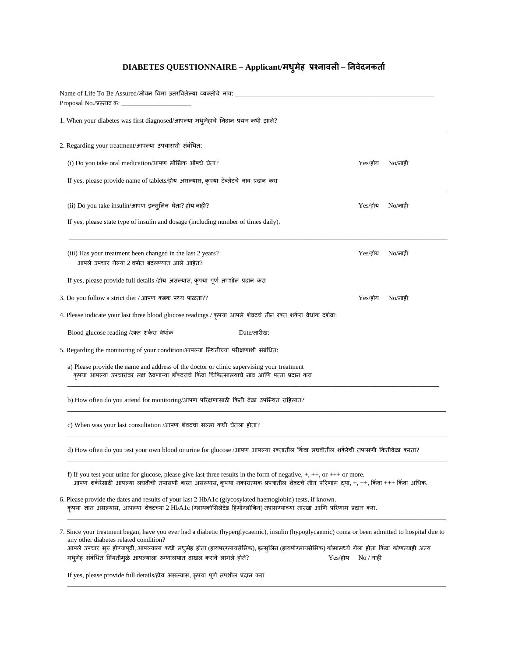## **DIABETES QUESTIONNAIRE – Applicant/मधुमेह प्रश्नावली – ननवेदनकर्ाा**

| Name of Life To Be Assured/जीवन विमा उतरविलेल्या व्यक्तीचे नाव:<br>Proposal No./प्रस्ताव क्र: _                                                                                                                                                                                                                                                                                                                             |           |                      |  |  |  |
|-----------------------------------------------------------------------------------------------------------------------------------------------------------------------------------------------------------------------------------------------------------------------------------------------------------------------------------------------------------------------------------------------------------------------------|-----------|----------------------|--|--|--|
| 1. When your diabetes was first diagnosed/आपल्या मधुमेहाचे निदान प्रथम कधी झाले?                                                                                                                                                                                                                                                                                                                                            |           |                      |  |  |  |
| 2. Regarding your treatment/आपल्या उपचाराशी संबंधित:                                                                                                                                                                                                                                                                                                                                                                        |           |                      |  |  |  |
| (i) Do you take oral medication/आपण मौखिक औषधे घेता?                                                                                                                                                                                                                                                                                                                                                                        | Yes/होय   | $No$ /नाही           |  |  |  |
| If yes, please provide name of tablets/होय असल्यास, कृपया टॅब्लेटचे नाव प्रदान करा                                                                                                                                                                                                                                                                                                                                          |           |                      |  |  |  |
| (ii) Do you take insulin/आपण इन्सुलिन घेता? होय नाही?                                                                                                                                                                                                                                                                                                                                                                       | Yes/होय   | $No$ /नाही           |  |  |  |
| If yes, please state type of insulin and dosage (including number of times daily).                                                                                                                                                                                                                                                                                                                                          |           |                      |  |  |  |
| (iii) Has your treatment been changed in the last 2 years?<br>आपले उपचार गेल्या 2 वर्षात बदलण्यात आले आहेत?                                                                                                                                                                                                                                                                                                                 | Yes/होय   | $No$ /नाही           |  |  |  |
| If yes, please provide full details /होय असल्यास, कृपया पूर्ण तपशील प्रदान करा                                                                                                                                                                                                                                                                                                                                              |           |                      |  |  |  |
| 3. Do you follow a strict diet / आपण कड़क पथ्य पाळता??                                                                                                                                                                                                                                                                                                                                                                      | Yes/होय   | $No/\overline{n}$ ही |  |  |  |
| 4. Please indicate your last three blood glucose readings / कृपया आपले शेवटचे तीन रक्त शर्करा वेधांक दर्शवा:                                                                                                                                                                                                                                                                                                                |           |                      |  |  |  |
| Blood glucose reading /रक्त शर्करा वेधांक<br>Date/तारीख:                                                                                                                                                                                                                                                                                                                                                                    |           |                      |  |  |  |
| 5. Regarding the monitoring of your condition/आपल्या स्थितीच्या परीक्षणाशी संबंधित:                                                                                                                                                                                                                                                                                                                                         |           |                      |  |  |  |
| a) Please provide the name and address of the doctor or clinic supervising your treatment<br>कृपया आपल्या उपचारांवर लक्ष ठेवणाऱ्या डॉक्टरांचे किंवा चिकित्सालयाचे नाव आणि पत्ता प्रदान करा                                                                                                                                                                                                                                  |           |                      |  |  |  |
| b) How often do you attend for monitoring/आपण परिक्षणासाठी किती वेळा उपस्थित राहिलात?                                                                                                                                                                                                                                                                                                                                       |           |                      |  |  |  |
| c) When was your last consultation /आपण शेवटचा सल्ला कधी घेतला होता?                                                                                                                                                                                                                                                                                                                                                        |           |                      |  |  |  |
| d) How often do you test your own blood or urine for glucose /आपण आपल्या रक्तातील किंवा लघवीतील शर्करेची तपासणी कितीवेळा करता?                                                                                                                                                                                                                                                                                              |           |                      |  |  |  |
| f) If you test your urine for glucose, please give last three results in the form of negative, $+, +$ , or $++$ or more.<br>आपण शर्करेसाठी आपल्या लघवीची तपासणी करत असल्यास, कृपया नकारात्मक प्रपत्रातील शेवटचे तीन परिणाम द्या, +, ++, किंवा +++ किंवा अधिक.                                                                                                                                                               |           |                      |  |  |  |
| 6. Please provide the dates and results of your last 2 HbA1c (glycosylated haemoglobin) tests, if known.<br>कृपया ज्ञात असल्यास, आपल्या शेवटच्या 2 HbA1c (ग्लायकोसिलेटेड हिमोग्लोबिन) तपासण्यांच्या तारखा आणि परिणाम प्रदान करा.                                                                                                                                                                                            |           |                      |  |  |  |
| 7. Since your treatment began, have you ever had a diabetic (hyperglycaemic), insulin (hypoglycaemic) coma or been admitted to hospital due to<br>any other diabetes related condition?<br>आपले उपचार सुरु होण्यापूर्वी, आपल्याला कधी मधुमेह होता (हायपरग्लायसेमिक), इन्सुलिन (हायपोग्लायसेमिक) कोमामध्ये गेला होता किंवा कोणत्याही अन्य<br>मधुमेह संबंधित स्थितीमुळे आपल्याला रुग्णालयात दाखल करावे लागले होते?<br>Yes/होय | No / नाही |                      |  |  |  |
| If yes, please provide full details/होय असल्यास, कृपया पूर्ण तपशील प्रदान करा                                                                                                                                                                                                                                                                                                                                               |           |                      |  |  |  |

\_\_\_\_\_\_\_\_\_\_\_\_\_\_\_\_\_\_\_\_\_\_\_\_\_\_\_\_\_\_\_\_\_\_\_\_\_\_\_\_\_\_\_\_\_\_\_\_\_\_\_\_\_\_\_\_\_\_\_\_\_\_\_\_\_\_\_\_\_\_\_\_\_\_\_\_\_\_\_\_\_\_\_\_\_\_\_\_\_\_\_\_\_\_\_\_\_\_\_\_\_\_\_\_\_\_\_\_\_\_\_\_\_\_